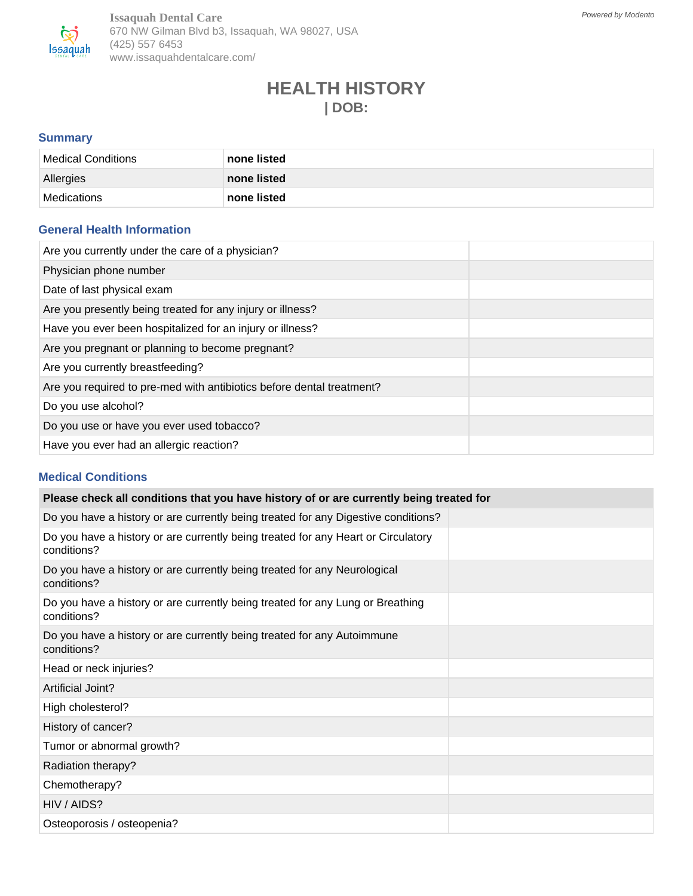

**Issaquah Dental Care** 670 NW Gilman Blvd b3, Issaquah, WA 98027, USA (425) 557 6453 www.issaquahdentalcare.com/

# **HEALTH HISTORY | DOB:**

## **Summary**

| Medical Conditions | none listed |
|--------------------|-------------|
| Allergies          | none listed |
| Medications        | none listed |

### **General Health Information**

| Are you currently under the care of a physician?                      |  |
|-----------------------------------------------------------------------|--|
| Physician phone number                                                |  |
| Date of last physical exam                                            |  |
| Are you presently being treated for any injury or illness?            |  |
| Have you ever been hospitalized for an injury or illness?             |  |
| Are you pregnant or planning to become pregnant?                      |  |
| Are you currently breastfeeding?                                      |  |
| Are you required to pre-med with antibiotics before dental treatment? |  |
| Do you use alcohol?                                                   |  |
| Do you use or have you ever used tobacco?                             |  |
| Have you ever had an allergic reaction?                               |  |

#### **Medical Conditions**

| Please check all conditions that you have history of or are currently being treated for          |  |  |  |
|--------------------------------------------------------------------------------------------------|--|--|--|
| Do you have a history or are currently being treated for any Digestive conditions?               |  |  |  |
| Do you have a history or are currently being treated for any Heart or Circulatory<br>conditions? |  |  |  |
| Do you have a history or are currently being treated for any Neurological<br>conditions?         |  |  |  |
| Do you have a history or are currently being treated for any Lung or Breathing<br>conditions?    |  |  |  |
| Do you have a history or are currently being treated for any Autoimmune<br>conditions?           |  |  |  |
| Head or neck injuries?                                                                           |  |  |  |
| Artificial Joint?                                                                                |  |  |  |
| High cholesterol?                                                                                |  |  |  |
| History of cancer?                                                                               |  |  |  |
| Tumor or abnormal growth?                                                                        |  |  |  |
| Radiation therapy?                                                                               |  |  |  |
| Chemotherapy?                                                                                    |  |  |  |
| HIV / AIDS?                                                                                      |  |  |  |
| Osteoporosis / osteopenia?                                                                       |  |  |  |